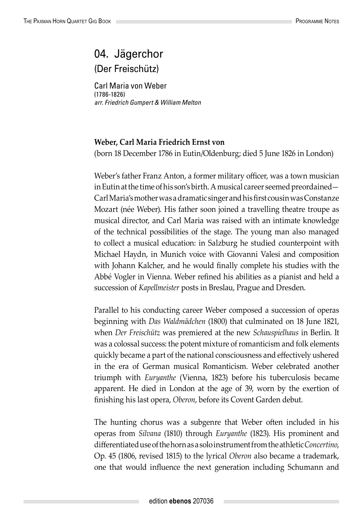## 04. Jägerchor (Der Freischütz)

Carl Maria von Weber (1786-1826) *arr. Friedrich Gumpert & William Melton*

## **Weber, Carl Maria Friedrich Ernst von**

(born 18 December 1786 in Eutin/Oldenburg; died 5 June 1826 in London)

Weber's father Franz Anton, a former military officer, was a town musician in Eutin at the time of his son's birth. A musical career seemed preordained— Carl Maria's mother was a dramatic singer and his first cousin was Constanze Mozart (née Weber). His father soon joined a travelling theatre troupe as musical director, and Carl Maria was raised with an intimate knowledge of the technical possibilities of the stage. The young man also managed to collect a musical education: in Salzburg he studied counterpoint with Michael Haydn, in Munich voice with Giovanni Valesi and composition with Johann Kalcher, and he would finally complete his studies with the Abbé Vogler in Vienna. Weber refined his abilities as a pianist and held a succession of *Kapellmeister* posts in Breslau, Prague and Dresden.

Parallel to his conducting career Weber composed a succession of operas beginning with *Das Waldmädchen* (1800) that culminated on 18 June 1821, when *Der Freischütz* was premiered at the new *Schauspielhaus* in Berlin. It was a colossal success: the potent mixture of romanticism and folk elements quickly became a part of the national consciousness and effectively ushered in the era of German musical Romanticism. Weber celebrated another triumph with *Euryanthe* (Vienna, 1823) before his tuberculosis became apparent. He died in London at the age of 39, worn by the exertion of finishing his last opera, *Oberon*, before its Covent Garden debut.

The hunting chorus was a subgenre that Weber often included in his operas from *Silvana* (1810) through *Euryanthe* (1823). His prominent and differentiated use of the horn as a solo instrument from the athletic *Concertino*, Op. 45 (1806, revised 1815) to the lyrical *Oberon* also became a trademark, one that would influence the next generation including Schumann and